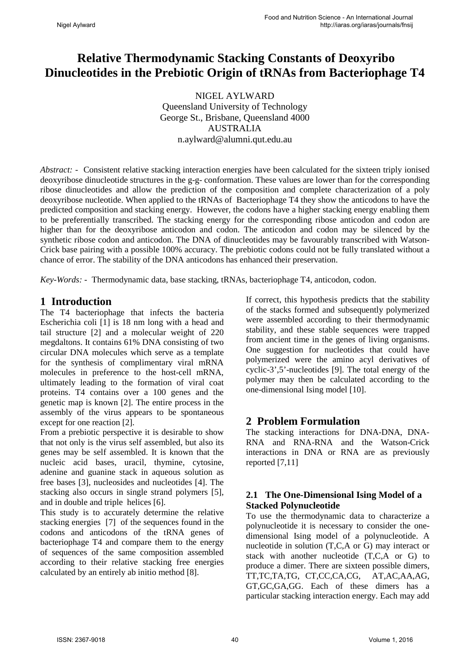# **Relative Thermodynamic Stacking Constants of Deoxyribo Dinucleotides in the Prebiotic Origin of tRNAs from Bacteriophage T4**

NIGEL AYLWARD Queensland University of Technology George St., Brisbane, Queensland 4000 AUSTRALIA n.aylward@alumni.qut.edu.au

*Abstract: -* Consistent relative stacking interaction energies have been calculated for the sixteen triply ionised deoxyribose dinucleotide structures in the g-g- conformation. These values are lower than for the corresponding ribose dinucleotides and allow the prediction of the composition and complete characterization of a poly deoxyribose nucleotide. When applied to the tRNAs of Bacteriophage T4 they show the anticodons to have the predicted composition and stacking energy. However, the codons have a higher stacking energy enabling them to be preferentially transcribed. The stacking energy for the corresponding ribose anticodon and codon are higher than for the deoxyribose anticodon and codon. The anticodon and codon may be silenced by the synthetic ribose codon and anticodon. The DNA of dinucleotides may be favourably transcribed with Watson-Crick base pairing with a possible 100% accuracy. The prebiotic codons could not be fully translated without a chance of error. The stability of the DNA anticodons has enhanced their preservation.

*Key-Words: -* Thermodynamic data, base stacking, tRNAs, bacteriophage T4, anticodon, codon.

### **1 Introduction**

The T4 bacteriophage that infects the bacteria Escherichia coli [1] is 18 nm long with a head and tail structure [2] and a molecular weight of 220 megdaltons. It contains 61% DNA consisting of two circular DNA molecules which serve as a template for the synthesis of complimentary viral mRNA molecules in preference to the host-cell mRNA, ultimately leading to the formation of viral coat proteins. T4 contains over a 100 genes and the genetic map is known [2]. The entire process in the assembly of the virus appears to be spontaneous except for one reaction [2].

From a prebiotic perspective it is desirable to show that not only is the virus self assembled, but also its genes may be self assembled. It is known that the nucleic acid bases, uracil, thymine, cytosine, adenine and guanine stack in aqueous solution as free bases [3], nucleosides and nucleotides [4]. The stacking also occurs in single strand polymers [5], and in double and triple helices [6].

This study is to accurately determine the relative stacking energies [7] of the sequences found in the codons and anticodons of the tRNA genes of bacteriophage T4 and compare them to the energy of sequences of the same composition assembled according to their relative stacking free energies calculated by an entirely ab initio method [8].

If correct, this hypothesis predicts that the stability of the stacks formed and subsequently polymerized were assembled according to their thermodynamic stability, and these stable sequences were trapped from ancient time in the genes of living organisms. One suggestion for nucleotides that could have polymerized were the amino acyl derivatives of cyclic-3',5'-nucleotides [9]. The total energy of the polymer may then be calculated according to the one-dimensional Ising model [10].

# **2 Problem Formulation**

The stacking interactions for DNA-DNA, DNA-RNA and RNA-RNA and the Watson-Crick interactions in DNA or RNA are as previously reported [7,11]

#### **2.1 The One-Dimensional Ising Model of a Stacked Polynucleotide**

To use the thermodynamic data to characterize a polynucleotide it is necessary to consider the onedimensional Ising model of a polynucleotide. A nucleotide in solution (T,C,A or G) may interact or stack with another nucleotide (T,C,A or G) to produce a dimer. There are sixteen possible dimers, TT,TC,TA,TG, CT,CC,CA,CG, AT,AC,AA,AG, GT,GC,GA,GG. Each of these dimers has a particular stacking interaction energy. Each may add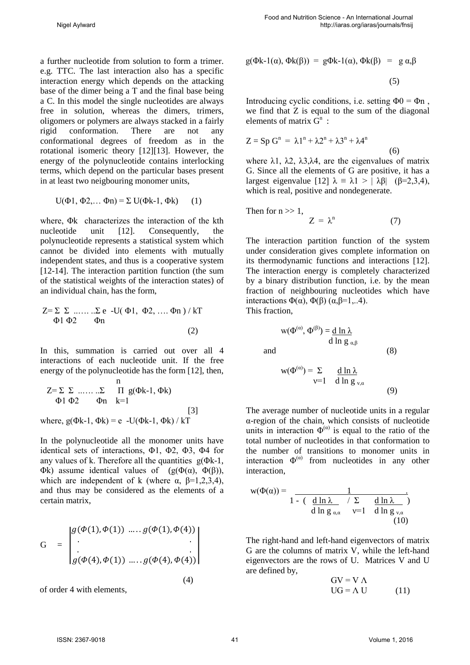a further nucleotide from solution to form a trimer. e.g. TTC. The last interaction also has a specific interaction energy which depends on the attacking base of the dimer being a T and the final base being a C. In this model the single nucleotides are always free in solution, whereas the dimers, trimers, oligomers or polymers are always stacked in a fairly rigid conformation. There are not any conformational degrees of freedom as in the rotational isomeric theory [12][13]. However, the energy of the polynucleotide contains interlocking terms, which depend on the particular bases present in at least two neigbouring monomer units,

$$
U(\Phi 1, \Phi 2, \dots \Phi n) = \Sigma U(\Phi k-1, \Phi k) \qquad (1)
$$

where, Φk characterizes the interaction of the kth nucleotide unit [12]. Consequently, the polynucleotide represents a statistical system which cannot be divided into elements with mutually independent states, and thus is a cooperative system [12-14]. The interaction partition function (the sum of the statistical weights of the interaction states) of an individual chain, has the form,

$$
Z = \sum \sum \dots \dots \sum e -U(\Phi1, \Phi2, \dots \Phi n) / kT
$$
  
\n
$$
\Phi1 \Phi2 \qquad \Phi n
$$
 (2)

In this, summation is carried out over all 4 interactions of each nucleotide unit. If the free energy of the polynucleotide has the form [12], then,

$$
Z = \sum \sum \dots \sum \prod_{k=1}^{n} g(\Phi k - 1, \Phi k)
$$
  
\n
$$
\Phi1 \Phi2 \qquad \Phi n \qquad k=1
$$
  
\nwhere,  $g(\Phi k - 1, \Phi k) = e - U(\Phi k - 1, \Phi k) / kT$  [3]

In the polynucleotide all the monomer units have identical sets of interactions, Φ1, Φ2, Φ3, Φ4 for any values of k. Therefore all the quantities  $g(\Phi k-1)$ , Φk) assume identical values of (g( $Φ(α)$ ,  $Φ(β)$ ), which are independent of k (where  $\alpha$ ,  $\beta$ =1,2,3,4), and thus may be considered as the elements of a certain matrix,

$$
G = \begin{vmatrix} g(\Phi(1), \Phi(1)) & \dots & g(\Phi(1), \Phi(4)) \\ \vdots & \vdots & \vdots \\ g(\Phi(4), \Phi(1)) & \dots & g(\Phi(4), \Phi(4)) \end{vmatrix}
$$
\n(4)

of order 4 with elements,

$$
g(\Phi k-1(\alpha), \Phi k(\beta)) = g\Phi k-1(\alpha), \Phi k(\beta) = g \alpha, \beta
$$

$$
(5)
$$

Introducing cyclic conditions, i.e. setting  $\Phi$ 0 =  $\Phi$ n, we find that Z is equal to the sum of the diagonal elements of matrix  $G^n$ :

$$
Z = Sp Gn = \lambda 1n + \lambda 2n + \lambda 3n + \lambda 4n
$$
 (6)

where  $\lambda$ 1,  $\lambda$ 2,  $\lambda$ 3, $\lambda$ 4, are the eigenvalues of matrix G. Since all the elements of G are positive, it has a largest eigenvalue [12]  $\lambda = \lambda$ 1 > | λβ| (β=2,3,4), which is real, positive and nondegenerate.

Then for 
$$
n \gg 1
$$
,  
 $Z = \lambda^n$  (7)

 $w(\Phi^{(\alpha)}, \Phi^{(\beta)}) = \underline{d} \ln \lambda$ 

The interaction partition function of the system under consideration gives complete information on its thermodynamic functions and interactions [12]. The interaction energy is completely characterized by a binary distribution function, i.e. by the mean fraction of neighbouring nucleotides which have interactions  $Φ(α)$ ,  $Φ(β)$  (α,  $β=1,..4$ ). This fraction,

and (8)  

$$
w(\Phi^{(\alpha)}) = \Sigma \quad d \ln \lambda
$$

d ln g  $\alpha$  β

$$
v=1 \quad \text{d} \ln g_{v,\alpha} \tag{9}
$$

The average number of nucleotide units in a regular α-region of the chain, which consists of nucleotide units in interaction  $\Phi^{(\alpha)}$  is equal to the ratio of the total number of nucleotides in that conformation to the number of transitions to monomer units in interaction  $\Phi^{(\alpha)}$  from nucleotides in any other interaction,

$$
w(\Phi(\alpha)) = \frac{1}{1 - (\frac{d \ln \lambda}{\alpha} / \sum \frac{d \ln \lambda}{\alpha} )}
$$
  
d \ln g\_{\alpha,\alpha} \qquad v=1 \qquad d \ln g\_{v,\alpha} (10)

The right-hand and left-hand eigenvectors of matrix G are the columns of matrix V, while the left-hand eigenvectors are the rows of U. Matrices V and U are defined by,

$$
GV = V \Lambda
$$
  
UG =  $\Lambda$  U (11)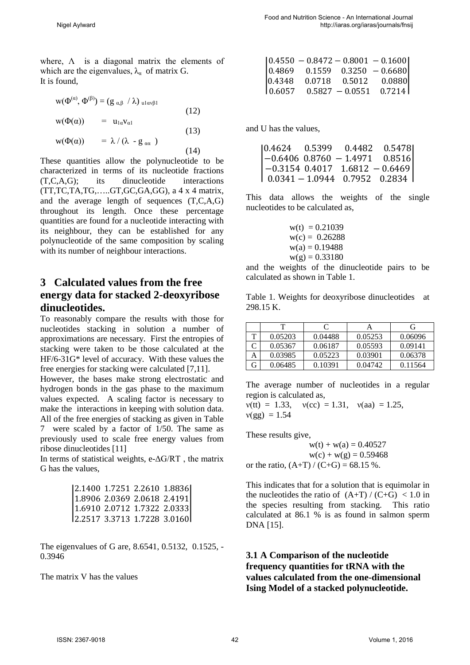where,  $\Lambda$  is a diagonal matrix the elements of which are the eigenvalues,  $\lambda_{\alpha}$  of matrix G. It is found,

$$
w(\Phi^{(\alpha)}, \Phi^{(\beta)}) = (g_{\alpha,\beta} / \lambda)_{\text{ulav}\beta 1}
$$
  
\n
$$
w(\Phi(\alpha)) = u_{1\alpha}v_{\alpha 1}
$$
\n(12)

$$
w(\Phi(\alpha)) = \lambda / (\lambda - g_{\alpha\alpha}) \qquad (14)
$$

These quantities allow the polynucleotide to be characterized in terms of its nucleotide fractions (T,C,A,G); its dinucleotide interactions (TT,TC,TA,TG,…..GT,GC,GA,GG), a 4 x 4 matrix, and the average length of sequences (T,C,A,G) throughout its length. Once these percentage quantities are found for a nucleotide interacting with its neighbour, they can be established for any polynucleotide of the same composition by scaling with its number of neighbour interactions.

# **3 Calculated values from the free energy data for stacked 2-deoxyribose dinucleotides.**

To reasonably compare the results with those for nucleotides stacking in solution a number of approximations are necessary. First the entropies of stacking were taken to be those calculated at the HF/6-31G\* level of accuracy. With these values the free energies for stacking were calculated [7,11].

However, the bases make strong electrostatic and hydrogen bonds in the gas phase to the maximum values expected. A scaling factor is necessary to make the interactions in keeping with solution data. All of the free energies of stacking as given in Table 7 were scaled by a factor of 1/50. The same as previously used to scale free energy values from ribose dinucleotides [11]

In terms of statistical weights, e-ΔG/RT , the matrix G has the values,

| 2.1400 1.7251 2.2610 1.8836                          |
|------------------------------------------------------|
| $\left[1.8906\ 2.0369\ 2.0618\ 2.4191\right]$        |
| $\left  1.6910 \right  2.0712 1.7322 2.0333 \right $ |
| 2.2517 3.3713 1.7228 3.0160                          |
|                                                      |

The eigenvalues of G are, 8.6541, 0.5132, 0.1525, - 0.3946

The matrix V has the values

|        |                   | $\left[0.4550 - 0.8472 - 0.8001 - 0.1600\right]$                   |
|--------|-------------------|--------------------------------------------------------------------|
|        |                   | $\begin{bmatrix} 0.4869 & 0.1559 & 0.3250 & -0.6680 \end{bmatrix}$ |
| 0.4348 |                   | $0.0718$ $0.5012$ $0.0880$                                         |
| 0.6057 | $0.5827 - 0.0551$ | 0.7214                                                             |

and U has the values,

|  | $\begin{array}{ llll} 0.4624 & 0.5399 & 0.4482 & 0.5478 \\ -0.6406 & 0.8760 & -1.4971 & 0.8516 \\ -0.3154 & 0.4017 & 1.6812 & -0.6469 \\ 0.0341 & -1.0944 & 0.7952 & 0.2834 \end{array}$ |  |
|--|------------------------------------------------------------------------------------------------------------------------------------------------------------------------------------------|--|
|  |                                                                                                                                                                                          |  |

This data allows the weights of the single nucleotides to be calculated as,

> $w(t) = 0.21039$  $w(c) = 0.26288$  $w(a) = 0.19488$  $w(\varphi) = 0.33180$

and the weights of the dinucleotide pairs to be calculated as shown in Table 1.

Table 1. Weights for deoxyribose dinucleotides at 298.15 K.

|   | т       | C       |         | G       |
|---|---------|---------|---------|---------|
| т | 0.05203 | 0.04488 | 0.05253 | 0.06096 |
|   | 0.05367 | 0.06187 | 0.05593 | 0.09141 |
|   | 0.03985 | 0.05223 | 0.03901 | 0.06378 |
| G | 0.06485 | 0.10391 | 0.04742 | 0.11564 |

The average number of nucleotides in a regular region is calculated as,

 $v(t) = 1.33$ ,  $v(cc) = 1.31$ ,  $v(aa) = 1.25$ ,  $v(gg) = 1.54$ 

These results give,

 $w(t) + w(a) = 0.40527$  $w(c) + w(g) = 0.59468$ or the ratio,  $(A+T)/(C+G) = 68.15$  %.

This indicates that for a solution that is equimolar in the nucleotides the ratio of  $(A+T)/(C+G) < 1.0$  in the species resulting from stacking. This ratio calculated at 86.1 % is as found in salmon sperm DNA [15].

### **3.1 A Comparison of the nucleotide frequency quantities for tRNA with the values calculated from the one-dimensional Ising Model of a stacked polynucleotide.**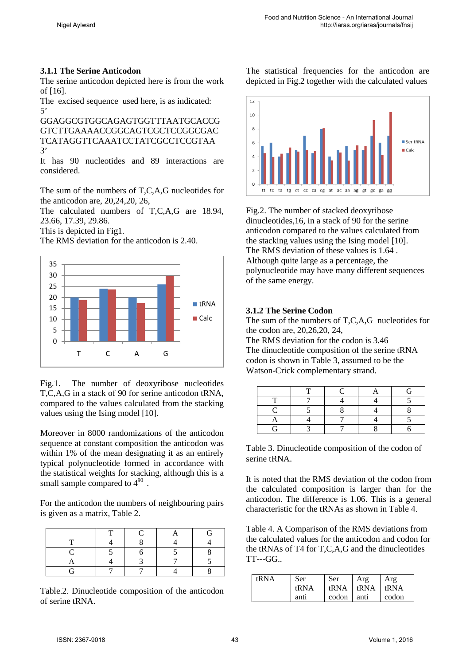#### **3.1.1 The Serine Anticodon**

The serine anticodon depicted here is from the work of [16].

The excised sequence used here, is as indicated: 5'

GGAGGCGTGGCAGAGTGGTTTAATGCACCG GTCTTGAAAACCGGCAGTCGCTCCGGCGAC TCATAGGTTCAAATCCTATCGCCTCCGTAA 3'

It has 90 nucleotides and 89 interactions are considered.

The sum of the numbers of T,C,A,G nucleotides for the anticodon are, 20,24,20, 26,

The calculated numbers of T,C,A,G are 18.94, 23.66, 17.39, 29.86.

This is depicted in Fig1.

The RMS deviation for the anticodon is 2.40.



Fig.1. The number of deoxyribose nucleotides T,C,A,G in a stack of 90 for serine anticodon tRNA, compared to the values calculated from the stacking values using the Ising model [10].

Moreover in 8000 randomizations of the anticodon sequence at constant composition the anticodon was within 1% of the mean designating it as an entirely typical polynucleotide formed in accordance with the statistical weights for stacking, although this is a small sample compared to  $4^{90}$ .

For the anticodon the numbers of neighbouring pairs is given as a matrix, Table 2.

Table.2. Dinucleotide composition of the anticodon of serine tRNA.

The statistical frequencies for the anticodon are depicted in Fig.2 together with the calculated values



Fig.2. The number of stacked deoxyribose dinucleotides,16, in a stack of 90 for the serine anticodon compared to the values calculated from the stacking values using the Ising model [10]. The RMS deviation of these values is 1.64 . Although quite large as a percentage, the polynucleotide may have many different sequences of the same energy.

#### **3.1.2 The Serine Codon**

The sum of the numbers of T,C,A,G nucleotides for the codon are, 20,26,20, 24,

The RMS deviation for the codon is 3.46 The dinucleotide composition of the serine tRNA codon is shown in Table 3, assumed to be the Watson-Crick complementary strand.

Table 3. Dinucleotide composition of the codon of serine tRNA.

It is noted that the RMS deviation of the codon from the calculated composition is larger than for the anticodon. The difference is 1.06. This is a general characteristic for the tRNAs as shown in Table 4.

Table 4. A Comparison of the RMS deviations from the calculated values for the anticodon and codon for the tRNAs of T4 for T,C,A,G and the dinucleotides TT---GG..

| tRNA | Ser  | Ser        | Arg                | Arg   |
|------|------|------------|--------------------|-------|
|      | tRNA |            | tRNA   tRNA   tRNA |       |
|      | anti | codon anti |                    | codon |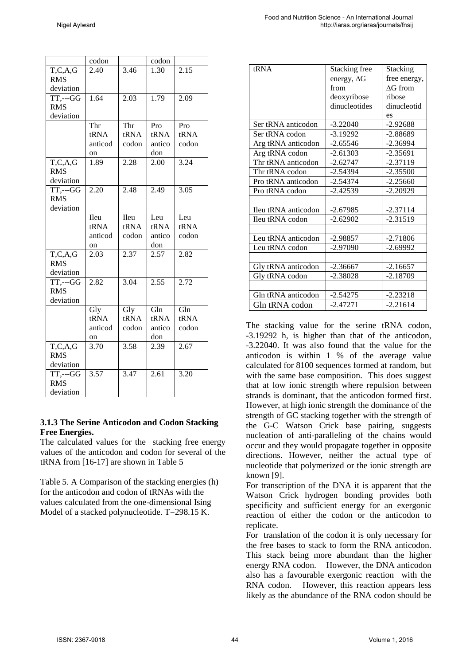|                               | codon             |       | codon  |                   |
|-------------------------------|-------------------|-------|--------|-------------------|
| T, C, A, G                    | $\overline{2}.40$ | 3.46  | 1.30   | $\overline{2.15}$ |
| <b>RMS</b>                    |                   |       |        |                   |
| deviation                     |                   |       |        |                   |
| $\overline{\text{TT}}$ ,---GG | 1.64              | 2.03  | 1.79   | 2.09              |
| <b>RMS</b>                    |                   |       |        |                   |
| deviation                     |                   |       |        |                   |
|                               | Thr               | Thr   | Pro    | Pro               |
|                               | tRNA              | tRNA  | tRNA   | tRNA              |
|                               | anticod           | codon | antico | codon             |
|                               | on                |       | don    |                   |
| T, C, A, G                    | 1.89              | 2.28  | 2.00   | 3.24              |
| <b>RMS</b>                    |                   |       |        |                   |
| deviation                     |                   |       |        |                   |
| TT,---GG                      | $\overline{2.20}$ | 2.48  | 2.49   | 3.05              |
| <b>RMS</b>                    |                   |       |        |                   |
| deviation                     |                   |       |        |                   |
|                               | Ileu              | Ileu  | Leu    | Leu               |
|                               | tRNA              | tRNA  | tRNA   | tRNA              |
|                               | anticod           | codon | antico | codon             |
|                               | on                |       | don    |                   |
| T, C, A, G                    | 2.03              | 2.37  | 2.57   | 2.82              |
| <b>RMS</b>                    |                   |       |        |                   |
| deviation                     |                   |       |        |                   |
| $TT$ ,--- $GG$                | $2.\overline{82}$ | 3.04  | 2.55   | $\overline{2.72}$ |
| <b>RMS</b>                    |                   |       |        |                   |
| deviation                     |                   |       |        |                   |
|                               | Gly               | Gly   | Gln    | Gln               |
|                               | tRNA              | tRNA  | tRNA   | tRNA              |
|                               | anticod           | codon | antico | codon             |
|                               | on                |       | don    |                   |
| T, C, A, G                    | 3.70              | 3.58  | 2.39   | 2.67              |
| <b>RMS</b>                    |                   |       |        |                   |
| deviation                     |                   |       |        |                   |
| $TT, --GG$                    | 3.57              | 3.47  | 2.61   | 3.20              |
| <b>RMS</b>                    |                   |       |        |                   |
| deviation                     |                   |       |        |                   |

#### **3.1.3 The Serine Anticodon and Codon Stacking Free Energies.**

The calculated values for the stacking free energy values of the anticodon and codon for several of the tRNA from [16-17] are shown in Table 5

Table 5. A Comparison of the stacking energies (h) for the anticodon and codon of tRNAs with the values calculated from the one-dimensional Ising Model of a stacked polynucleotide. T=298.15 K.

| fRNA                | Stacking free      | Stacking     |
|---------------------|--------------------|--------------|
|                     | energy, $\Delta G$ | free energy, |
|                     | from               | AG from      |
|                     | deoxyribose        | ribose       |
|                     | dinucleotides      | dinucleotid  |
|                     |                    | es           |
| Ser tRNA anticodon  | $-3.22040$         | $-2.92688$   |
| Ser tRNA codon      | $-3.19292$         | -2.88689     |
| Arg tRNA anticodon  | $-2.65546$         | $-2.36994$   |
| Arg tRNA codon      | $-2.61303$         | $-2.35691$   |
| Thr tRNA anticodon  | $-2.62747$         | $-2.37119$   |
| Thr tRNA codon      | -2.54394           | $-2.35500$   |
| Pro tRNA anticodon  | $-2.54374$         | $-2.25660$   |
| Pro tRNA codon      | -2.42539           | $-2.20929$   |
|                     |                    |              |
| Ileu tRNA anticodon | $-2.67985$         | $-2.37114$   |
| Ileu tRNA codon     | $-2.62902$         | $-2.31519$   |
|                     |                    |              |
| Leu tRNA anticodon  | $-2.98857$         | $-2.71806$   |
| Leu tRNA codon      | -2.97090           | $-2.69992$   |
|                     |                    |              |
| Gly tRNA anticodon  | $-2.36667$         | $-2.16657$   |
| Gly tRNA codon      | $-2.38028$         | $-2.18709$   |
|                     |                    |              |
| Gln tRNA anticodon  | $-2.54275$         | $-2.23218$   |
| Gln tRNA codon      | $-2.47271$         | $-2.21614$   |
|                     |                    |              |

The stacking value for the serine tRNA codon, -3.19292 h, is higher than that of the anticodon, -3.22040. It was also found that the value for the anticodon is within 1 % of the average value calculated for 8100 sequences formed at random, but with the same base composition. This does suggest that at low ionic strength where repulsion between strands is dominant, that the anticodon formed first. However, at high ionic strength the dominance of the strength of GC stacking together with the strength of the G-C Watson Crick base pairing, suggests nucleation of anti-paralleling of the chains would occur and they would propagate together in opposite directions. However, neither the actual type of nucleotide that polymerized or the ionic strength are known [9].

For transcription of the DNA it is apparent that the Watson Crick hydrogen bonding provides both specificity and sufficient energy for an exergonic reaction of either the codon or the anticodon to replicate.

For translation of the codon it is only necessary for the free bases to stack to form the RNA anticodon. This stack being more abundant than the higher energy RNA codon. However, the DNA anticodon also has a favourable exergonic reaction with the RNA codon. However, this reaction appears less likely as the abundance of the RNA codon should be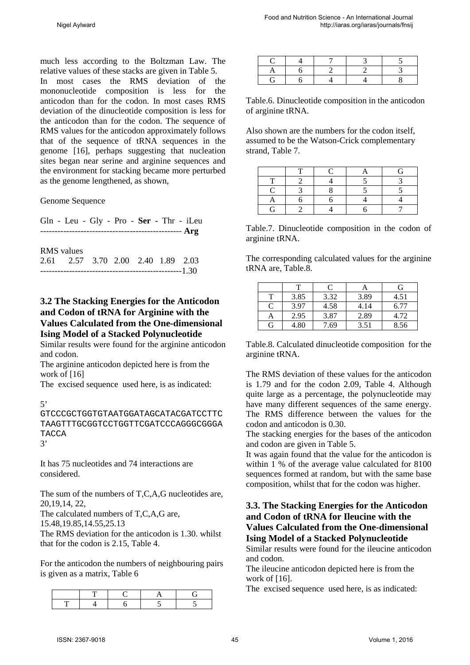much less according to the Boltzman Law. The relative values of these stacks are given in Table 5.

In most cases the RMS deviation of the mononucleotide composition is less for the anticodon than for the codon. In most cases RMS deviation of the dinucleotide composition is less for the anticodon than for the codon. The sequence of RMS values for the anticodon approximately follows that of the sequence of tRNA sequences in the genome [16], perhaps suggesting that nucleation sites began near serine and arginine sequences and the environment for stacking became more perturbed as the genome lengthened, as shown,

Genome Sequence

| Gln - Leu - Gly - Pro - Ser - Thr - iLeu |                                         |  |  |
|------------------------------------------|-----------------------------------------|--|--|
|                                          |                                         |  |  |
|                                          |                                         |  |  |
| <b>RMS</b> values                        |                                         |  |  |
| 2.61 2.57 3.70 2.00 2.40 1.89 2.03       |                                         |  |  |
|                                          | -----------------------------------1.30 |  |  |

#### **3.2 The Stacking Energies for the Anticodon and Codon of tRNA for Arginine with the Values Calculated from the One-dimensional Ising Model of a Stacked Polynucleotide**

Similar results were found for the arginine anticodon and codon.

The arginine anticodon depicted here is from the work of [16]

The excised sequence used here, is as indicated:

5'

GTCCCGCTGGTGTAATGGATAGCATACGATCCTTC TAAGTTTGCGGTCCTGGTTCGATCCCAGGGCGGGA TACCA 3'

It has 75 nucleotides and 74 interactions are considered.

The sum of the numbers of T,C,A,G nucleotides are, 20,19,14, 22,

The calculated numbers of T,C,A,G are,

15.48,19.85,14.55,25.13

The RMS deviation for the anticodon is 1.30. whilst that for the codon is 2.15, Table 4.

For the anticodon the numbers of neighbouring pairs is given as a matrix, Table 6

Table.6. Dinucleotide composition in the anticodon of arginine tRNA.

Also shown are the numbers for the codon itself, assumed to be the Watson-Crick complementary strand, Table 7.

Table.7. Dinucleotide composition in the codon of arginine tRNA.

The corresponding calculated values for the arginine tRNA are, Table.8.

|   |      | $\mathcal{C}$ |      | G    |
|---|------|---------------|------|------|
| т | 3.85 | 3.32          | 3.89 | 4.51 |
| C | 3.97 | 4.58          | 4.14 | 6.77 |
| Α | 2.95 | 3.87          | 2.89 | 4.72 |
| G | 4.80 | 7.69          | 3.51 | 8.56 |

Table.8. Calculated dinucleotide composition for the arginine tRNA.

The RMS deviation of these values for the anticodon is 1.79 and for the codon 2.09, Table 4. Although quite large as a percentage, the polynucleotide may have many different sequences of the same energy. The RMS difference between the values for the codon and anticodon is 0.30.

The stacking energies for the bases of the anticodon and codon are given in Table 5.

It was again found that the value for the anticodon is within 1 % of the average value calculated for 8100 sequences formed at random, but with the same base composition, whilst that for the codon was higher.

#### **3.3. The Stacking Energies for the Anticodon and Codon of tRNA for Ileucine with the Values Calculated from the One-dimensional Ising Model of a Stacked Polynucleotide**

Similar results were found for the ileucine anticodon and codon.

The ileucine anticodon depicted here is from the work of [16].

The excised sequence used here, is as indicated: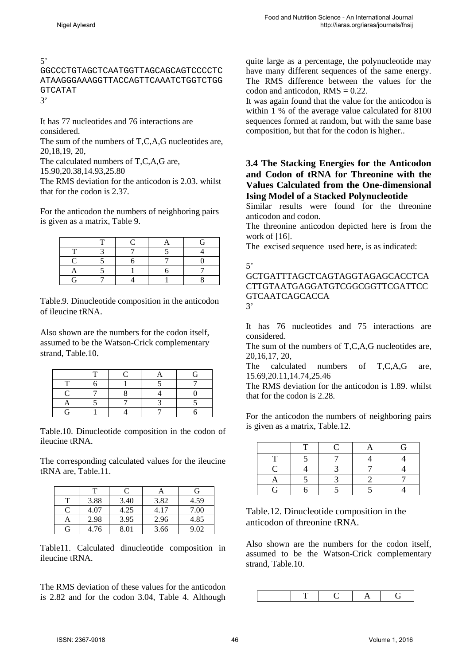5'

GGCCCTGTAGCTCAATGGTTAGCAGCAGTCCCCTC ATAAGGGAAAGGTTACCAGTTCAAATCTGGTCTGG GTCATAT

3'

It has 77 nucleotides and 76 interactions are considered.

The sum of the numbers of T,C,A,G nucleotides are, 20,18,19, 20,

The calculated numbers of T,C,A,G are,

15.90,20.38,14.93,25.80

The RMS deviation for the anticodon is 2.03. whilst that for the codon is 2.37.

For the anticodon the numbers of neighboring pairs is given as a matrix, Table 9.

Table.9. Dinucleotide composition in the anticodon of ileucine tRNA.

Also shown are the numbers for the codon itself, assumed to be the Watson-Crick complementary strand, Table.10.

Table.10. Dinucleotide composition in the codon of ileucine tRNA.

The corresponding calculated values for the ileucine tRNA are, Table.11.

|   |      |      | A    | G    |
|---|------|------|------|------|
| т | 3.88 | 3.40 | 3.82 | 4.59 |
| C | 4.07 | 4.25 | 4.17 | 7.00 |
| А | 2.98 | 3.95 | 2.96 | 4.85 |
| G | 4.76 | 8.01 | 3.66 | 9.02 |

Table11. Calculated dinucleotide composition in ileucine tRNA.

The RMS deviation of these values for the anticodon is 2.82 and for the codon 3.04, Table 4. Although quite large as a percentage, the polynucleotide may have many different sequences of the same energy. The RMS difference between the values for the codon and anticodon,  $RMS = 0.22$ .

It was again found that the value for the anticodon is within 1 % of the average value calculated for 8100 sequences formed at random, but with the same base composition, but that for the codon is higher..

#### **3.4 The Stacking Energies for the Anticodon and Codon of tRNA for Threonine with the Values Calculated from the One-dimensional Ising Model of a Stacked Polynucleotide**

Similar results were found for the threonine anticodon and codon.

The threonine anticodon depicted here is from the work of [16].

The excised sequence used here, is as indicated:

5'

GCTGATTTAGCTCAGTAGGTAGAGCACCTCA CTTGTAATGAGGATGTCGGCGGTTCGATTCC GTCAATCAGCACCA 3'

It has 76 nucleotides and 75 interactions are considered.

The sum of the numbers of T,C,A,G nucleotides are, 20,16,17, 20,

The calculated numbers of T,C,A,G are, 15.69,20.11,14.74,25.46

The RMS deviation for the anticodon is 1.89. whilst that for the codon is 2.28.

For the anticodon the numbers of neighboring pairs is given as a matrix, Table.12.

|    |  | ٢÷. |
|----|--|-----|
|    |  |     |
|    |  |     |
|    |  |     |
| ſ÷ |  |     |

Table.12. Dinucleotide composition in the anticodon of threonine tRNA.

Also shown are the numbers for the codon itself, assumed to be the Watson-Crick complementary strand, Table.10.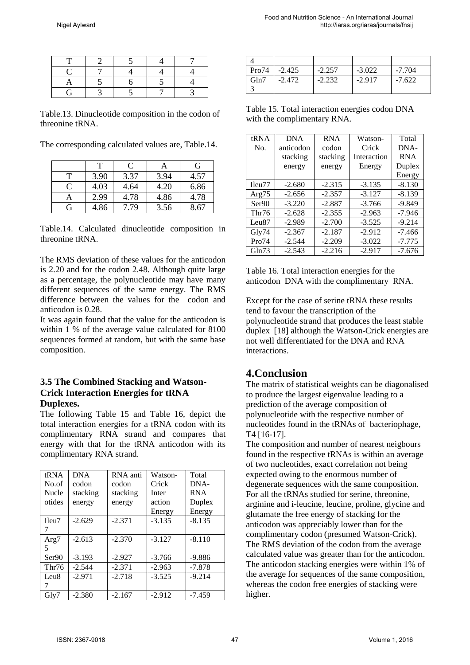Table.13. Dinucleotide composition in the codon of threonine tRNA.

The corresponding calculated values are, Table.14.

|               | т    | C    | Α    | G    |
|---------------|------|------|------|------|
| т             | 3.90 | 3.37 | 3.94 | 4.57 |
| $\mathcal{C}$ | 4.03 | 4.64 | 4.20 | 6.86 |
| Α             | 2.99 | 4.78 | 4.86 | 4.78 |
| G             | 4.86 | 7.79 | 3.56 | 8.67 |

Table.14. Calculated dinucleotide composition in threonine tRNA.

The RMS deviation of these values for the anticodon is 2.20 and for the codon 2.48. Although quite large as a percentage, the polynucleotide may have many different sequences of the same energy. The RMS difference between the values for the codon and anticodon is 0.28.

It was again found that the value for the anticodon is within 1 % of the average value calculated for 8100 sequences formed at random, but with the same base composition.

#### **3.5 The Combined Stacking and Watson-Crick Interaction Energies for tRNA Duplexes.**

The following Table 15 and Table 16, depict the total interaction energies for a tRNA codon with its complimentary RNA strand and compares that energy with that for the tRNA anticodon with its complimentary RNA strand.

| tRNA             | <b>DNA</b> | RNA anti | Watson-  | Total      |
|------------------|------------|----------|----------|------------|
| No.of            | codon      | codon    | Crick    | DNA-       |
| <b>Nucle</b>     | stacking   | stacking | Inter    | <b>RNA</b> |
| otides           | energy     | energy   | action   | Duplex     |
|                  |            |          | Energy   | Energy     |
| Ileu7            | $-2.629$   | $-2.371$ | $-3.135$ | $-8.135$   |
|                  |            |          |          |            |
| Arg7             | $-2.613$   | $-2.370$ | $-3.127$ | $-8.110$   |
| 5                |            |          |          |            |
| Ser90            | $-3.193$   | $-2.927$ | $-3.766$ | $-9.886$   |
| Thr76            | $-2.544$   | $-2.371$ | $-2.963$ | $-7.878$   |
| Leu <sub>8</sub> | $-2.971$   | $-2.718$ | $-3.525$ | $-9.214$   |
|                  |            |          |          |            |
| Gly7             | $-2.380$   | $-2.167$ | $-2.912$ | $-7.459$   |

| Pro74 | $-2.425$ | $-2.257$ | $-3.022$ | $-7.704$ |
|-------|----------|----------|----------|----------|
| Gln7  | $-2.472$ | $-2.232$ | $-2.917$ | $-7.622$ |

Table 15. Total interaction energies codon DNA with the complimentary RNA.

| tRNA   | <b>DNA</b> | <b>RNA</b> | Watson-     | Total      |
|--------|------------|------------|-------------|------------|
| No.    | anticodon  | codon      | Crick       | DNA-       |
|        | stacking   | stacking   | Interaction | <b>RNA</b> |
|        | energy     | energy     | Energy      | Duplex     |
|        |            |            |             | Energy     |
| Ileu77 | $-2.680$   | $-2.315$   | $-3.135$    | $-8.130$   |
| Arg75  | $-2.656$   | $-2.357$   | $-3.127$    | $-8.139$   |
| Ser90  | $-3.220$   | $-2.887$   | $-3.766$    | $-9.849$   |
| Thr76  | $-2.628$   | $-2.355$   | $-2.963$    | $-7.946$   |
| Leu87  | $-2.989$   | $-2.700$   | $-3.525$    | $-9.214$   |
| Gly74  | $-2.367$   | $-2.187$   | $-2.912$    | $-7.466$   |
| Pro74  | $-2.544$   | $-2.209$   | $-3.022$    | $-7.775$   |
| Gln73  | $-2.543$   | $-2.216$   | $-2.917$    | $-7.676$   |

Table 16. Total interaction energies for the anticodon DNA with the complimentary RNA.

Except for the case of serine tRNA these results tend to favour the transcription of the polynucleotide strand that produces the least stable duplex [18] although the Watson-Crick energies are not well differentiated for the DNA and RNA interactions.

# **4.Conclusion**

The matrix of statistical weights can be diagonalised to produce the largest eigenvalue leading to a prediction of the average composition of polynucleotide with the respective number of nucleotides found in the tRNAs of bacteriophage, T4 [16-17].

The composition and number of nearest neigbours found in the respective tRNAs is within an average of two nucleotides, exact correlation not being expected owing to the enormous number of degenerate sequences with the same composition. For all the tRNAs studied for serine, threonine, arginine and i-leucine, leucine, proline, glycine and glutamate the free energy of stacking for the anticodon was appreciably lower than for the complimentary codon (presumed Watson-Crick). The RMS deviation of the codon from the average calculated value was greater than for the anticodon. The anticodon stacking energies were within 1% of the average for sequences of the same composition, whereas the codon free energies of stacking were higher.